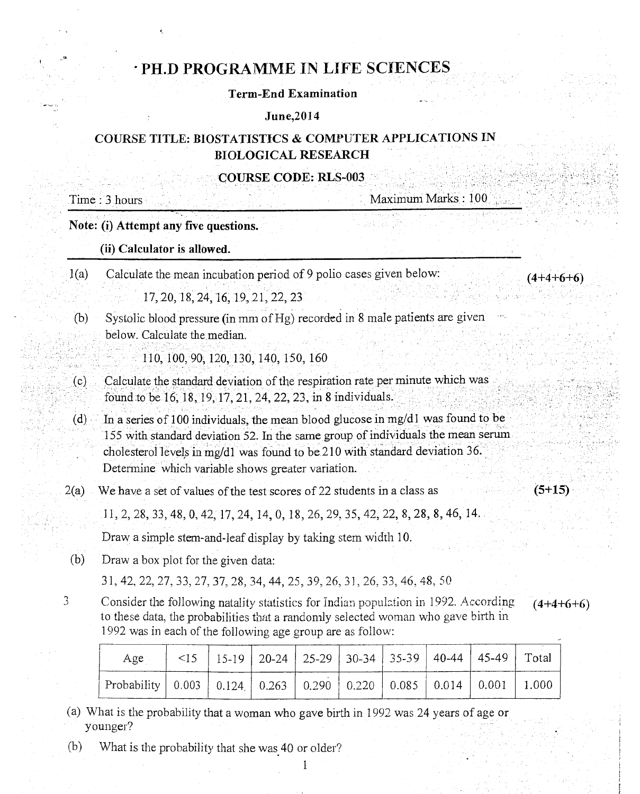# PH.D PROGRAMME IN LIFE SCIENCES

### Term-End Examination

#### June,2014

## COURSE TITLE: BIOSTATISTICS & COMPUTER APPLICATIONS IN BIOLOGICAL RESEARCH

#### COURSE CODE: RLS-003

Time : 3 hours Maximum Marks : 100

 $(4+4+6+6)$ 

 $(5+15)$ 

 $(4+4+6+6)$ 

Note: (i) Attempt any five questions.

#### (ii) Calculator is allowed.

1(a) Calculate the mean incubation period of 9 polio cases given below:

17, 20, 18, 24, 16, 19, 21, 22, 23

(b) Systolic blood pressure (in mm of Hg) recorded in 8 male patients are given below. Calculate the median.

110, 100, 90, 120, 130, 140, 150, 160

- Calculate the standard deviation of the respiration rate per minute which was  $(c)$ found to be 16, 18, 19, 17, 21, 24, 22, 23, in 8 individuals.
- (d) In a series of 100 individuals, the mean blood glucose in mg/d1 was found to be 155 with standard deviation 52. In the same group of individuals the mean serum cholesterol levels in mg/dl was found to be 210 with standard deviation 36. Determine which variable shows greater variation.
- $2(a)$  We have a set of values of the test scores of 22 students in a class as

11, 2, 28, 33, 48, 0, 42, 17, 24, 14, 0, 18, 26, 29, 35, 42, 22, 8, 28, 8, 46, 14.

Draw a simple stem-and-leaf display by taking stem width 10.

(b) Draw a box plot for the given data:

31, 42, 22, 27, 33, 27, 37, 28, 34, 44, 25, 39, 26, 3], 26, 33, 46, 48, 50

3 Consider the following natality statistics for Indian population in 1992. According to these data, the probabilities that a randomly selected woman who gave birth in 1992 was in each of the following age group are as follow:

| Age                                                                                                 |  |  |  | $\leq$ 15   15-19   20-24   25-29   30-34   35-39   40-44   45-49   Total |  |
|-----------------------------------------------------------------------------------------------------|--|--|--|---------------------------------------------------------------------------|--|
| Probability   $0.003$   $0.124$   $0.263$   $0.290$   $0.220$   $0.085$   $0.014$   $0.001$   1.000 |  |  |  |                                                                           |  |

(a) What is the probability that a woman who gave birth in 1992 was 24 years of age or younger?

1

(b) What is the probability that she was 40 or older?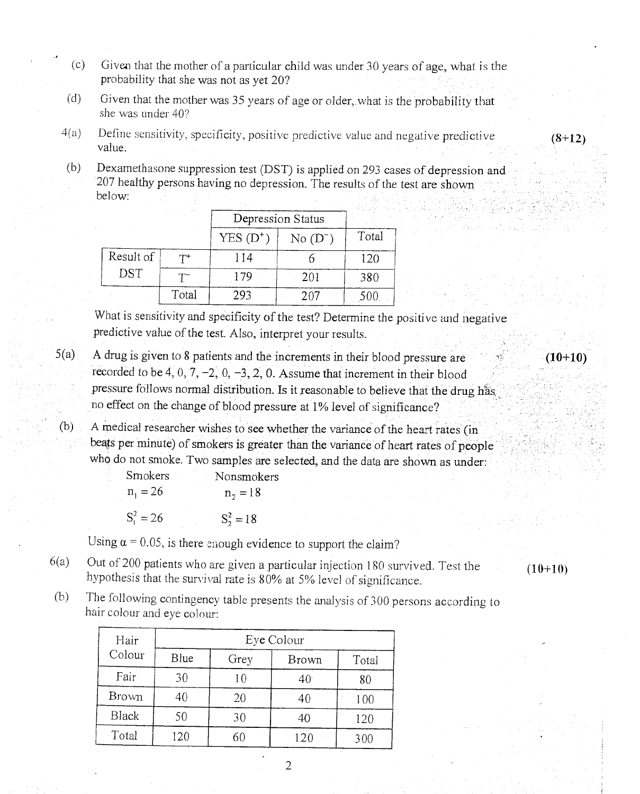- (c) Given that the mother of a particular child was under 30 years of age, what is the probability that she was not as yet 20?
- (d) Given that the mother was 35 years of age or older,.what is the probability that she was under 40?
- $4(a)$  Define sensitivity, specificity, positive predictive value and negative predictive value.

 $(8+12)$ 

 $(10+10)$ 

(b) Dexamethasone suppression test (DST) is applied on 293 cases of depression and 207 healthy persons having no depression. The results of the test are shown below:

|                         |       | Depression Status |             |       |
|-------------------------|-------|-------------------|-------------|-------|
|                         |       | $YES(D^+)$        | $No(D^{-})$ | Total |
| Result of<br><b>DST</b> | $T^+$ | 114               |             | 120   |
|                         |       | 179               | 201         | 380   |
|                         | Total | 293               | 207         | 500   |

What is sensitivity and specificity of the test? Determine the positive and negative predictive value of the test. Also, interpret your results.

5(a) A drug is given to 8 patients and the increments in their blood pressure are recorded to be 4, 0, 7, -2, 0, -3, 2, 0. Assume that increment in their blood pressure follows normal distribution. Is it reasonable to believe that the drug has, no effect on the change of blood pressure at 1% level of significance?

(b) A medical researcher wishes to see whether the variance of the heart rates (in beats per minute) of smokers is greater than the variance of heart rates of people who do not smoke. Two samples are selected, and the data are shown as under:

> Smokers Nonsmokers  $n_1 = 26$   $n_2 = 18$  $S_1^2 = 26$   $S_2^2 = 18$

Using  $\alpha$  = 0.05, is there enough evidence to support the claim?

- $6(a)$  Out of 200 patients who are given a particular injection 180 survived. Test the hypothesis that the survival rate is 80% at 5% level of significance.
- $(10+10)$
- (b) The following contingency table presents the analysis of 300 persons according to hair colour and eye colour:

| Hair         | Eye Colour |      |                 |       |  |
|--------------|------------|------|-----------------|-------|--|
| Colour       | Blue       | Grey | Brown           | Total |  |
| Fair         | 30         | 10   | 40 <sup>°</sup> | 80    |  |
| Brown        | 40         | 20   | 40              | 100   |  |
| <b>Black</b> | 50         | 30   | 40              | 120   |  |
| Total        | 120        |      | 120             | 300   |  |

2